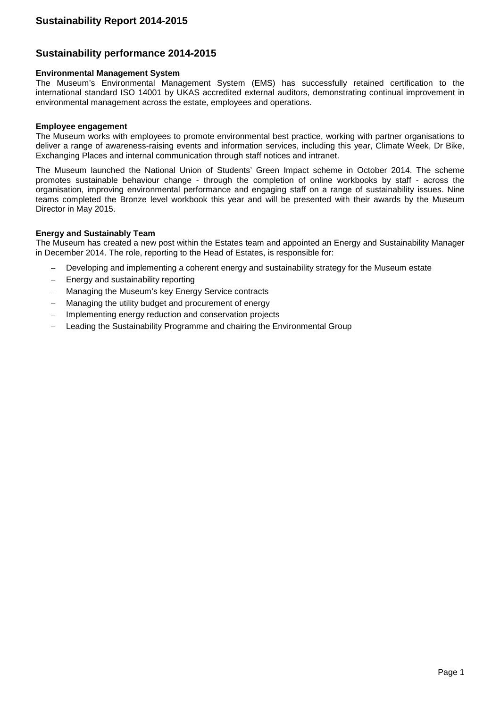# **Sustainability performance 2014-2015**

### **Environmental Management System**

The Museum's Environmental Management System (EMS) has successfully retained certification to the international standard ISO 14001 by UKAS accredited external auditors, demonstrating continual improvement in environmental management across the estate, employees and operations.

### **Employee engagement**

The Museum works with employees to promote environmental best practice, working with partner organisations to deliver a range of awareness-raising events and information services, including this year, Climate Week, Dr Bike, Exchanging Places and internal communication through staff notices and intranet.

The Museum launched the National Union of Students' Green Impact scheme in October 2014. The scheme promotes sustainable behaviour change - through the completion of online workbooks by staff - across the organisation, improving environmental performance and engaging staff on a range of sustainability issues. Nine teams completed the Bronze level workbook this year and will be presented with their awards by the Museum Director in May 2015.

### **Energy and Sustainably Team**

The Museum has created a new post within the Estates team and appointed an Energy and Sustainability Manager in December 2014. The role, reporting to the Head of Estates, is responsible for:

- Developing and implementing a coherent energy and sustainability strategy for the Museum estate
- Energy and sustainability reporting
- Managing the Museum's key Energy Service contracts
- Managing the utility budget and procurement of energy
- Implementing energy reduction and conservation projects
- Leading the Sustainability Programme and chairing the Environmental Group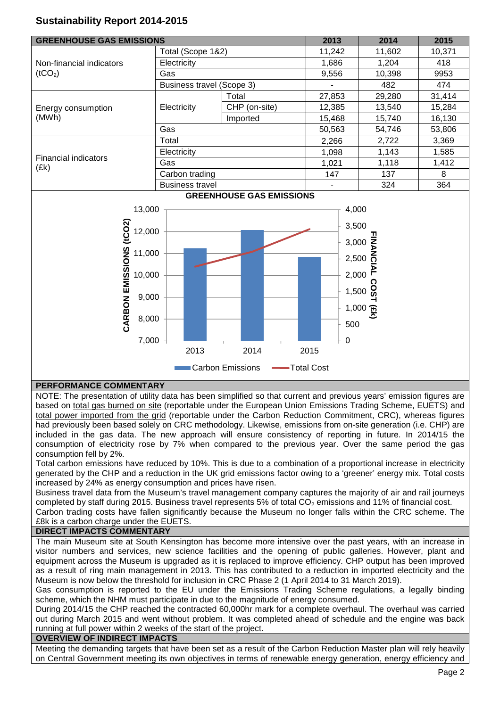# **Sustainability Report 2014-2015**

| <b>GREENHOUSE GAS EMISSIONS</b>                 |                                  | 2013          | 2014   | 2015                                  |        |  |  |
|-------------------------------------------------|----------------------------------|---------------|--------|---------------------------------------|--------|--|--|
| Non-financial indicators<br>(tCO <sub>2</sub> ) | Total (Scope 1&2)                |               | 11,242 | 11,602                                | 10,371 |  |  |
|                                                 | Electricity                      |               | 1,686  | 1,204                                 | 418    |  |  |
|                                                 | Gas                              |               | 9,556  | 10,398                                | 9953   |  |  |
|                                                 | <b>Business travel (Scope 3)</b> |               | ۰      | 482                                   | 474    |  |  |
|                                                 | Electricity                      | Total         | 27,853 | 29,280                                | 31,414 |  |  |
| Energy consumption<br>(MWh)                     |                                  | CHP (on-site) | 12,385 | 13,540                                | 15,284 |  |  |
|                                                 |                                  | Imported      | 15,468 | 15,740                                | 16,130 |  |  |
|                                                 | Gas                              |               | 50,563 | 54,746                                | 53,806 |  |  |
|                                                 | Total                            |               | 2,266  | 2,722<br>1,143<br>1,118<br>137<br>324 | 3,369  |  |  |
| <b>Financial indicators</b><br>(£k)             | Electricity                      |               | 1.098  |                                       | 1,585  |  |  |
|                                                 | Gas                              |               | 1.021  |                                       | 1,412  |  |  |
|                                                 | Carbon trading                   |               | 147    |                                       | 8      |  |  |
|                                                 | <b>Business travel</b>           |               |        |                                       | 364    |  |  |
| <b>GREENHOUSE GAS EMISSIONS</b>                 |                                  |               |        |                                       |        |  |  |



## **PERFORMANCE COMMENTARY**

NOTE: The presentation of utility data has been simplified so that current and previous years' emission figures are based on total gas burned on site (reportable under the European Union Emissions Trading Scheme, EUETS) and total power imported from the grid (reportable under the Carbon Reduction Commitment, CRC), whereas figures had previously been based solely on CRC methodology. Likewise, emissions from on-site generation (i.e. CHP) are included in the gas data. The new approach will ensure consistency of reporting in future. In 2014/15 the consumption of electricity rose by 7% when compared to the previous year. Over the same period the gas consumption fell by 2%.

Total carbon emissions have reduced by 10%. This is due to a combination of a proportional increase in electricity generated by the CHP and a reduction in the UK grid emissions factor owing to a 'greener' energy mix. Total costs increased by 24% as energy consumption and prices have risen.

Business travel data from the Museum's travel management company captures the majority of air and rail journeys completed by staff during 2015. Business travel represents 5% of total CO<sub>2</sub> emissions and 11% of financial cost.

Carbon trading costs have fallen significantly because the Museum no longer falls within the CRC scheme. The £8k is a carbon charge under the EUETS.

## **DIRECT IMPACTS COMMENTARY**

The main Museum site at South Kensington has become more intensive over the past years, with an increase in visitor numbers and services, new science facilities and the opening of public galleries. However, plant and equipment across the Museum is upgraded as it is replaced to improve efficiency. CHP output has been improved as a result of ring main management in 2013. This has contributed to a reduction in imported electricity and the Museum is now below the threshold for inclusion in CRC Phase 2 (1 April 2014 to 31 March 2019).

Gas consumption is reported to the EU under the Emissions Trading Scheme regulations, a legally binding scheme, which the NHM must participate in due to the magnitude of energy consumed.

During 2014/15 the CHP reached the contracted 60,000hr mark for a complete overhaul. The overhaul was carried out during March 2015 and went without problem. It was completed ahead of schedule and the engine was back running at full power within 2 weeks of the start of the project.

## **OVERVIEW OF INDIRECT IMPACTS**

Meeting the demanding targets that have been set as a result of the Carbon Reduction Master plan will rely heavily on Central Government meeting its own objectives in terms of renewable energy generation, energy efficiency and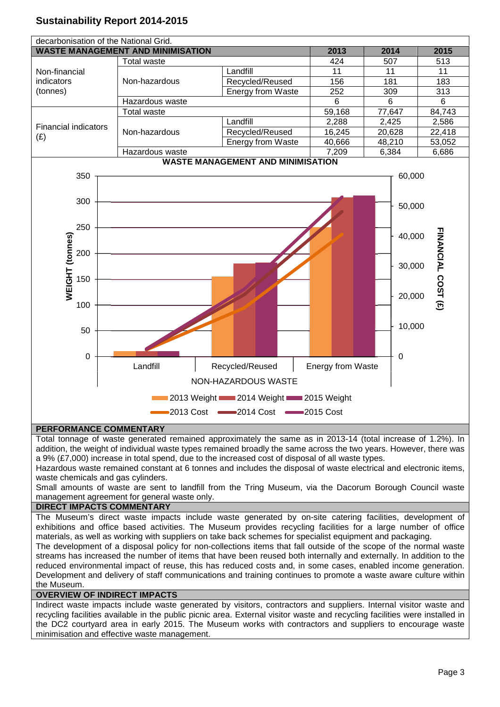# **Sustainability Report 2014-2015**



# **PERFORMANCE COMMENTARY**

Total tonnage of waste generated remained approximately the same as in 2013-14 (total increase of 1.2%). In addition, the weight of individual waste types remained broadly the same across the two years. However, there was a 9% (£7,000) increase in total spend, due to the increased cost of disposal of all waste types.

Hazardous waste remained constant at 6 tonnes and includes the disposal of waste electrical and electronic items, waste chemicals and gas cylinders.

Small amounts of waste are sent to landfill from the Tring Museum, via the Dacorum Borough Council waste management agreement for general waste only.

## **DIRECT IMPACTS COMMENTARY**

The Museum's direct waste impacts include waste generated by on-site catering facilities, development of exhibitions and office based activities. The Museum provides recycling facilities for a large number of office materials, as well as working with suppliers on take back schemes for specialist equipment and packaging.

The development of a disposal policy for non-collections items that fall outside of the scope of the normal waste streams has increased the number of items that have been reused both internally and externally. In addition to the reduced environmental impact of reuse, this has reduced costs and, in some cases, enabled income generation. Development and delivery of staff communications and training continues to promote a waste aware culture within the Museum.

# **OVERVIEW OF INDIRECT IMPACTS**

Indirect waste impacts include waste generated by visitors, contractors and suppliers. Internal visitor waste and recycling facilities available in the public picnic area. External visitor waste and recycling facilities were installed in the DC2 courtyard area in early 2015. The Museum works with contractors and suppliers to encourage waste minimisation and effective waste management.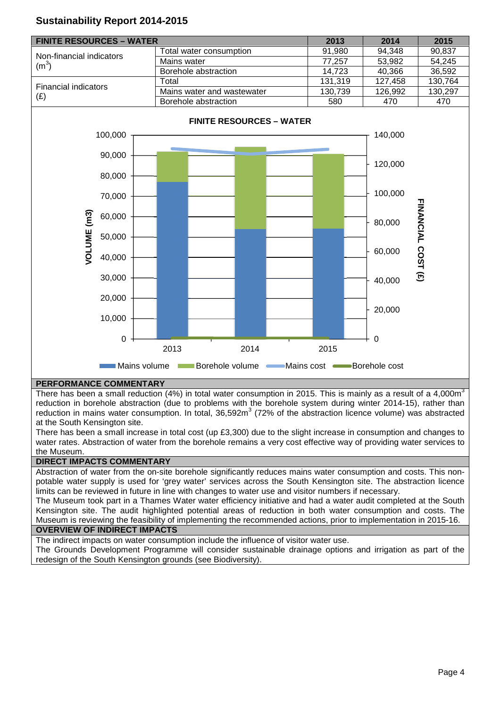

# **Sustainability Report 2014-2015**

## **PERFORMANCE COMMENTARY**

There has been a small reduction (4%) in total water consumption in 2015. This is mainly as a result of a 4,000 $m<sup>3</sup>$ reduction in borehole abstraction (due to problems with the borehole system during winter 2014-15), rather than reduction in mains water consumption. In total, 36,592m<sup>3</sup> (72% of the abstraction licence volume) was abstracted at the South Kensington site.

There has been a small increase in total cost (up £3,300) due to the slight increase in consumption and changes to water rates. Abstraction of water from the borehole remains a very cost effective way of providing water services to the Museum.

# **DIRECT IMPACTS COMMENTARY**

Abstraction of water from the on-site borehole significantly reduces mains water consumption and costs. This nonpotable water supply is used for 'grey water' services across the South Kensington site. The abstraction licence limits can be reviewed in future in line with changes to water use and visitor numbers if necessary.

The Museum took part in a Thames Water water efficiency initiative and had a water audit completed at the South Kensington site. The audit highlighted potential areas of reduction in both water consumption and costs. The Museum is reviewing the feasibility of implementing the recommended actions, prior to implementation in 2015-16. **OVERVIEW OF INDIRECT IMPACTS**

#### The indirect impacts on water consumption include the influence of visitor water use.

The Grounds Development Programme will consider sustainable drainage options and irrigation as part of the redesign of the South Kensington grounds (see Biodiversity).